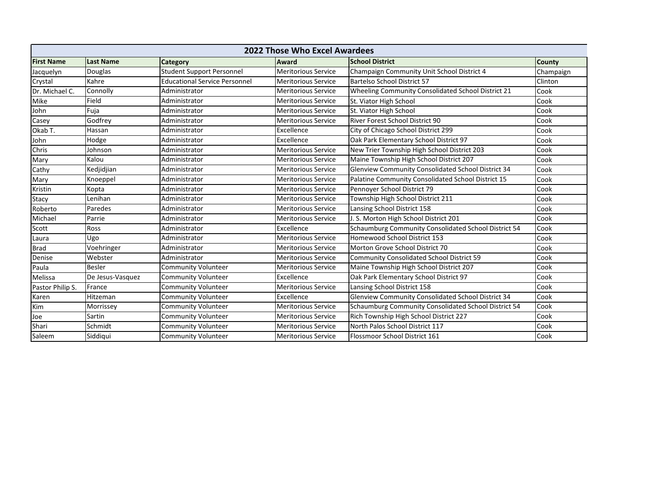| <b>2022 Those Who Excel Awardees</b> |                  |                                      |                            |                                                      |               |  |
|--------------------------------------|------------------|--------------------------------------|----------------------------|------------------------------------------------------|---------------|--|
| <b>First Name</b>                    | <b>Last Name</b> | <b>Category</b>                      | <b>Award</b>               | <b>School District</b>                               | <b>County</b> |  |
| Jacquelyn                            | Douglas          | <b>Student Support Personnel</b>     | <b>Meritorious Service</b> | Champaign Community Unit School District 4           | Champaign     |  |
| Crystal                              | Kahre            | <b>Educational Service Personnel</b> | <b>Meritorious Service</b> | Bartelso School District 57                          | Clinton       |  |
| Dr. Michael C.                       | Connolly         | Administrator                        | <b>Meritorious Service</b> | Wheeling Community Consolidated School District 21   | Cook          |  |
| Mike                                 | Field            | Administrator                        | <b>Meritorious Service</b> | St. Viator High School                               | Cook          |  |
| John                                 | Fuja             | Administrator                        | <b>Meritorious Service</b> | St. Viator High School                               | Cook          |  |
| Casey                                | Godfrey          | Administrator                        | <b>Meritorious Service</b> | <b>River Forest School District 90</b>               | Cook          |  |
| Okab T.                              | Hassan           | Administrator                        | Excellence                 | City of Chicago School District 299                  | Cook          |  |
| John                                 | Hodge            | Administrator                        | Excellence                 | Oak Park Elementary School District 97               | Cook          |  |
| Chris                                | Johnson          | Administrator                        | <b>Meritorious Service</b> | New Trier Township High School District 203          | Cook          |  |
| Mary                                 | Kalou            | Administrator                        | <b>Meritorious Service</b> | Maine Township High School District 207              | Cook          |  |
| Cathy                                | Kedjidjian       | Administrator                        | <b>Meritorious Service</b> | Glenview Community Consolidated School District 34   | Cook          |  |
| Mary                                 | Knoeppel         | Administrator                        | <b>Meritorious Service</b> | Palatine Community Consolidated School District 15   | Cook          |  |
| Kristin                              | Kopta            | Administrator                        | <b>Meritorious Service</b> | Pennover School District 79                          | Cook          |  |
| Stacy                                | Lenihan          | Administrator                        | <b>Meritorious Service</b> | Township High School District 211                    | Cook          |  |
| Roberto                              | Paredes          | Administrator                        | <b>Meritorious Service</b> | Lansing School District 158                          | Cook          |  |
| Michael                              | Parrie           | Administrator                        | <b>Meritorious Service</b> | J. S. Morton High School District 201                | Cook          |  |
| Scott                                | Ross             | Administrator                        | Excellence                 | Schaumburg Community Consolidated School District 54 | Cook          |  |
| Laura                                | Ugo              | Administrator                        | Meritorious Service        | Homewood School District 153                         | Cook          |  |
| <b>Brad</b>                          | Voehringer       | Administrator                        | <b>Meritorious Service</b> | Morton Grove School District 70                      | Cook          |  |
| Denise                               | Webster          | Administrator                        | <b>Meritorious Service</b> | <b>Community Consolidated School District 59</b>     | Cook          |  |
| Paula                                | <b>Besler</b>    | <b>Community Volunteer</b>           | <b>Meritorious Service</b> | Maine Township High School District 207              | Cook          |  |
| Melissa                              | De Jesus-Vasquez | <b>Community Volunteer</b>           | Excellence                 | Oak Park Elementary School District 97               | Cook          |  |
| Pastor Philip S.                     | France           | <b>Community Volunteer</b>           | <b>Meritorious Service</b> | Lansing School District 158                          | Cook          |  |
| Karen                                | Hitzeman         | <b>Community Volunteer</b>           | Excellence                 | Glenview Community Consolidated School District 34   | Cook          |  |
| Kim                                  | Morrissey        | <b>Community Volunteer</b>           | <b>Meritorious Service</b> | Schaumburg Community Consolidated School District 54 | Cook          |  |
| Joe                                  | Sartin           | <b>Community Volunteer</b>           | <b>Meritorious Service</b> | Rich Township High School District 227               | Cook          |  |
| Shari                                | Schmidt          | Community Volunteer                  | <b>Meritorious Service</b> | North Palos School District 117                      | Cook          |  |
| Saleem                               | Siddiqui         | <b>Community Volunteer</b>           | <b>Meritorious Service</b> | Flossmoor School District 161                        | Cook          |  |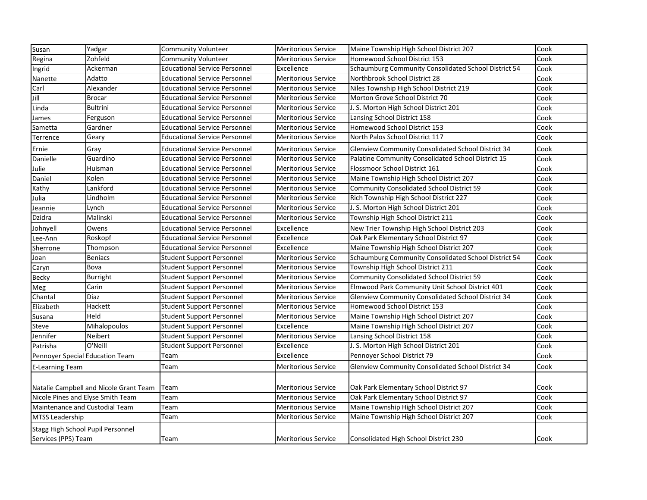| Susan                                  | Yadgar                            | <b>Community Volunteer</b>           | Meritorious Service        | Maine Township High School District 207              | Cook |
|----------------------------------------|-----------------------------------|--------------------------------------|----------------------------|------------------------------------------------------|------|
| Regina                                 | Zohfeld                           | <b>Community Volunteer</b>           | <b>Meritorious Service</b> | Homewood School District 153                         | Cook |
| Ingrid                                 | Ackerman                          | <b>Educational Service Personnel</b> | Excellence                 | Schaumburg Community Consolidated School District 54 | Cook |
| Nanette                                | Adatto                            | <b>Educational Service Personnel</b> | <b>Meritorious Service</b> | Northbrook School District 28                        | Cook |
| Carl                                   | Alexander                         | <b>Educational Service Personnel</b> | <b>Meritorious Service</b> | Niles Township High School District 219              | Cook |
| Jill                                   | <b>Brocar</b>                     | <b>Educational Service Personnel</b> | <b>Meritorious Service</b> | Morton Grove School District 70                      | Cook |
| Linda                                  | <b>Bultrini</b>                   | <b>Educational Service Personnel</b> | <b>Meritorious Service</b> | J. S. Morton High School District 201                | Cook |
| James                                  | Ferguson                          | <b>Educational Service Personnel</b> | <b>Meritorious Service</b> | Lansing School District 158                          | Cook |
| Sametta                                | Gardner                           | <b>Educational Service Personnel</b> | <b>Meritorious Service</b> | Homewood School District 153                         | Cook |
| Terrence                               | Geary                             | <b>Educational Service Personnel</b> | <b>Meritorious Service</b> | North Palos School District 117                      | Cook |
| Ernie                                  | Gray                              | <b>Educational Service Personnel</b> | <b>Meritorious Service</b> | Glenview Community Consolidated School District 34   | Cook |
| Danielle                               | Guardino                          | <b>Educational Service Personnel</b> | <b>Meritorious Service</b> | Palatine Community Consolidated School District 15   | Cook |
| Julie                                  | Huisman                           | <b>Educational Service Personnel</b> | <b>Meritorious Service</b> | Flossmoor School District 161                        | Cook |
| Daniel                                 | Kolen                             | <b>Educational Service Personnel</b> | <b>Meritorious Service</b> | Maine Township High School District 207              | Cook |
| Kathy                                  | Lankford                          | <b>Educational Service Personnel</b> | <b>Meritorious Service</b> | <b>Community Consolidated School District 59</b>     | Cook |
| Julia                                  | Lindholm                          | <b>Educational Service Personnel</b> | <b>Meritorious Service</b> | Rich Township High School District 227               | Cook |
| Jeannie                                | Lynch                             | <b>Educational Service Personnel</b> | <b>Meritorious Service</b> | J. S. Morton High School District 201                | Cook |
| Dzidra                                 | Malinski                          | <b>Educational Service Personnel</b> | <b>Meritorious Service</b> | Township High School District 211                    | Cook |
| Johnyell                               | Owens                             | <b>Educational Service Personnel</b> | Excellence                 | New Trier Township High School District 203          | Cook |
| Lee-Ann                                | Roskopf                           | <b>Educational Service Personnel</b> | Excellence                 | Oak Park Elementary School District 97               | Cook |
| Sherrone                               | Thompson                          | <b>Educational Service Personnel</b> | Excellence                 | Maine Township High School District 207              | Cook |
| Joan                                   | <b>Beniacs</b>                    | <b>Student Support Personnel</b>     | <b>Meritorious Service</b> | Schaumburg Community Consolidated School District 54 | Cook |
| Caryn                                  | Bova                              | <b>Student Support Personnel</b>     | <b>Meritorious Service</b> | Township High School District 211                    | Cook |
| <b>Becky</b>                           | <b>Burright</b>                   | <b>Student Support Personnel</b>     | <b>Meritorious Service</b> | Community Consolidated School District 59            | Cook |
| Meg                                    | Carin                             | <b>Student Support Personnel</b>     | <b>Meritorious Service</b> | Elmwood Park Community Unit School District 401      | Cook |
| Chantal                                | <b>Diaz</b>                       | <b>Student Support Personnel</b>     | <b>Meritorious Service</b> | Glenview Community Consolidated School District 34   | Cook |
| Elizabeth                              | Hackett                           | <b>Student Support Personnel</b>     | Meritorious Service        | Homewood School District 153                         | Cook |
| Susana                                 | Held                              | <b>Student Support Personnel</b>     | <b>Meritorious Service</b> | Maine Township High School District 207              | Cook |
| Steve                                  | Mihalopoulos                      | <b>Student Support Personnel</b>     | Excellence                 | Maine Township High School District 207              | Cook |
| Jennifer                               | Neibert                           | <b>Student Support Personnel</b>     | <b>Meritorious Service</b> | Lansing School District 158                          | Cook |
| Patrisha                               | O'Neill                           | <b>Student Support Personnel</b>     | Excellence                 | J. S. Morton High School District 201                | Cook |
|                                        | Pennoyer Special Education Team   | Team                                 | Excellence                 | Pennoyer School District 79                          | Cook |
| <b>E-Learning Team</b>                 |                                   | Team                                 | <b>Meritorious Service</b> | Glenview Community Consolidated School District 34   | Cook |
|                                        |                                   |                                      |                            |                                                      |      |
| Natalie Campbell and Nicole Grant Team |                                   | Team                                 | <b>Meritorious Service</b> | Oak Park Elementary School District 97               | Cook |
| Nicole Pines and Elyse Smith Team      |                                   | Team                                 | <b>Meritorious Service</b> | Oak Park Elementary School District 97               | Cook |
| Maintenance and Custodial Team         |                                   | Team                                 | <b>Meritorious Service</b> | Maine Township High School District 207              | Cook |
| <b>MTSS Leadership</b>                 |                                   | Team                                 | <b>Meritorious Service</b> | Maine Township High School District 207              | Cook |
|                                        | Stagg High School Pupil Personnel |                                      |                            |                                                      |      |
| Services (PPS) Team                    |                                   | Team                                 | <b>Meritorious Service</b> | Consolidated High School District 230                | Cook |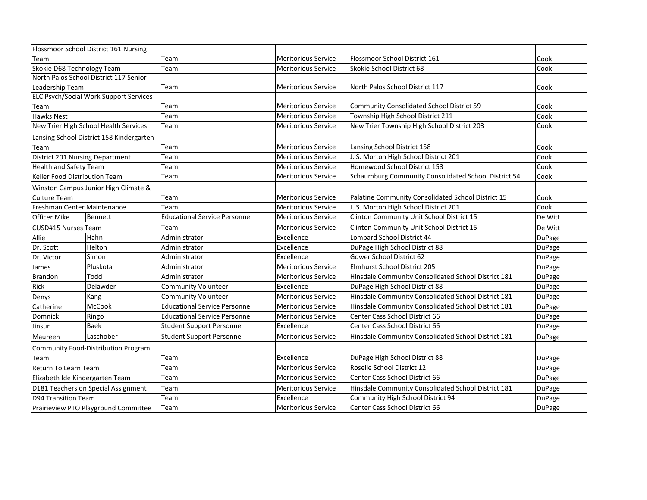| Flossmoor School District 161 Nursing |                                               |                                      |                            |                                                      |               |
|---------------------------------------|-----------------------------------------------|--------------------------------------|----------------------------|------------------------------------------------------|---------------|
| Team                                  |                                               | Team                                 | <b>Meritorious Service</b> | Flossmoor School District 161                        | Cook          |
| Skokie D68 Technology Team            |                                               | Team                                 | <b>Meritorious Service</b> | Skokie School District 68                            | Cook          |
|                                       | North Palos School District 117 Senior        |                                      |                            |                                                      |               |
| Leadership Team                       |                                               | Team                                 | <b>Meritorious Service</b> | North Palos School District 117                      | Cook          |
|                                       | <b>ELC Psych/Social Work Support Services</b> |                                      |                            |                                                      |               |
| Team                                  |                                               | Team                                 | Meritorious Service        | <b>Community Consolidated School District 59</b>     | Cook          |
| <b>Hawks Nest</b>                     |                                               | Team                                 | <b>Meritorious Service</b> | Township High School District 211                    | Cook          |
|                                       | New Trier High School Health Services         | Team                                 | <b>Meritorious Service</b> | New Trier Township High School District 203          | Cook          |
|                                       | Lansing School District 158 Kindergarten      |                                      |                            |                                                      |               |
| Team                                  |                                               | Team                                 | <b>Meritorious Service</b> | Lansing School District 158                          | Cook          |
| District 201 Nursing Department       |                                               | Team                                 | <b>Meritorious Service</b> | J. S. Morton High School District 201                | Cook          |
| Health and Safety Team                |                                               | Team                                 | <b>Meritorious Service</b> | Homewood School District 153                         | Cook          |
| Keller Food Distribution Team         |                                               | Team                                 | <b>Meritorious Service</b> | Schaumburg Community Consolidated School District 54 | Cook          |
|                                       | Winston Campus Junior High Climate &          |                                      |                            |                                                      |               |
| <b>Culture Team</b>                   |                                               | Team                                 | <b>Meritorious Service</b> | Palatine Community Consolidated School District 15   | Cook          |
| Freshman Center Maintenance           |                                               | Team                                 | <b>Meritorious Service</b> | J. S. Morton High School District 201                | Cook          |
| Officer Mike                          | <b>Bennett</b>                                | <b>Educational Service Personnel</b> | <b>Meritorious Service</b> | Clinton Community Unit School District 15            | De Witt       |
| CUSD#15 Nurses Team                   |                                               | Team                                 | <b>Meritorious Service</b> | Clinton Community Unit School District 15            | De Witt       |
| Allie                                 | Hahn                                          | Administrator                        | Excellence                 | <b>Lombard School District 44</b>                    | <b>DuPage</b> |
| Dr. Scott                             | Helton                                        | Administrator                        | Excellence                 | DuPage High School District 88                       | <b>DuPage</b> |
| Dr. Victor                            | Simon                                         | Administrator                        | Excellence                 | Gower School District 62                             | <b>DuPage</b> |
| James                                 | Pluskota                                      | Administrator                        | <b>Meritorious Service</b> | Elmhurst School District 205                         | <b>DuPage</b> |
| <b>Brandon</b>                        | Todd                                          | Administrator                        | Meritorious Service        | Hinsdale Community Consolidated School District 181  | <b>DuPage</b> |
| Rick                                  | Delawder                                      | Community Volunteer                  | Excellence                 | DuPage High School District 88                       | DuPage        |
| Denys                                 | Kang                                          | <b>Community Volunteer</b>           | Meritorious Service        | Hinsdale Community Consolidated School District 181  | <b>DuPage</b> |
| Catherine                             | <b>McCook</b>                                 | <b>Educational Service Personnel</b> | <b>Meritorious Service</b> | Hinsdale Community Consolidated School District 181  | <b>DuPage</b> |
| Domnick                               | Ringo                                         | <b>Educational Service Personnel</b> | <b>Meritorious Service</b> | Center Cass School District 66                       | <b>DuPage</b> |
| Jinsun                                | <b>Baek</b>                                   | <b>Student Support Personnel</b>     | Excellence                 | <b>Center Cass School District 66</b>                | <b>DuPage</b> |
| Maureen                               | Laschober                                     | <b>Student Support Personnel</b>     | <b>Meritorious Service</b> | Hinsdale Community Consolidated School District 181  | <b>DuPage</b> |
|                                       | Community Food-Distribution Program           |                                      |                            |                                                      |               |
| Team                                  |                                               | Team                                 | Excellence                 | DuPage High School District 88                       | <b>DuPage</b> |
| <b>Return To Learn Team</b>           |                                               | Team                                 | <b>Meritorious Service</b> | Roselle School District 12                           | <b>DuPage</b> |
| Elizabeth Ide Kindergarten Team       |                                               | Team                                 | <b>Meritorious Service</b> | Center Cass School District 66                       | <b>DuPage</b> |
| D181 Teachers on Special Assignment   |                                               | Team                                 | <b>Meritorious Service</b> | Hinsdale Community Consolidated School District 181  | <b>DuPage</b> |
| <b>D94 Transition Team</b>            |                                               | Team                                 | Excellence                 | Community High School District 94                    | <b>DuPage</b> |
|                                       | Prairieview PTO Playground Committee          | Team                                 | <b>Meritorious Service</b> | Center Cass School District 66                       | <b>DuPage</b> |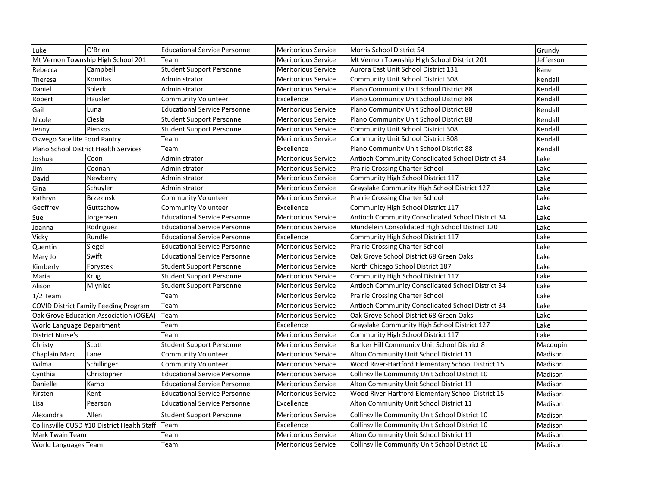| Luke                               | O'Brien                                      | <b>Educational Service Personnel</b> | Meritorious Service        | Morris School District 54                           | Grundy    |
|------------------------------------|----------------------------------------------|--------------------------------------|----------------------------|-----------------------------------------------------|-----------|
| Mt Vernon Township High School 201 |                                              | Team                                 | <b>Meritorious Service</b> | Mt Vernon Township High School District 201         | Jefferson |
| Rebecca                            | Campbell                                     | <b>Student Support Personnel</b>     | <b>Meritorious Service</b> | Aurora East Unit School District 131                | Kane      |
| Theresa                            | Komitas                                      | Administrator                        | <b>Meritorious Service</b> | <b>Community Unit School District 308</b>           | Kendall   |
| Daniel                             | Solecki                                      | Administrator                        | <b>Meritorious Service</b> | Plano Community Unit School District 88             | Kendall   |
| Robert                             | Hausler                                      | Community Volunteer                  | Excellence                 | Plano Community Unit School District 88             | Kendall   |
| Gail                               | Luna                                         | <b>Educational Service Personnel</b> | <b>Meritorious Service</b> | Plano Community Unit School District 88             | Kendall   |
| Nicole                             | Ciesla                                       | <b>Student Support Personnel</b>     | <b>Meritorious Service</b> | Plano Community Unit School District 88             | Kendall   |
| Jenny                              | Pienkos                                      | <b>Student Support Personnel</b>     | <b>Meritorious Service</b> | Community Unit School District 308                  | Kendall   |
| Oswego Satellite Food Pantry       |                                              | Team                                 | Meritorious Service        | Community Unit School District 308                  | Kendall   |
|                                    | Plano School District Health Services        | Team                                 | Excellence                 | Plano Community Unit School District 88             | Kendall   |
| Joshua                             | Coon                                         | Administrator                        | Meritorious Service        | Antioch Community Consolidated School District 34   | Lake      |
| Jim                                | Coonan                                       | Administrator                        | <b>Meritorious Service</b> | <b>Prairie Crossing Charter School</b>              | Lake      |
| David                              | Newberry                                     | Administrator                        | <b>Meritorious Service</b> | Community High School District 117                  | Lake      |
| Gina                               | Schuyler                                     | Administrator                        | <b>Meritorious Service</b> | Grayslake Community High School District 127        | Lake      |
| Kathryn                            | Brzezinski                                   | Community Volunteer                  | Meritorious Service        | Prairie Crossing Charter School                     | Lake      |
| Geoffrey                           | Guttschow                                    | Community Volunteer                  | Excellence                 | Community High School District 117                  | Lake      |
| Sue                                | Jorgensen                                    | <b>Educational Service Personnel</b> | Meritorious Service        | Antioch Community Consolidated School District 34   | Lake      |
| Joanna                             | Rodriguez                                    | <b>Educational Service Personnel</b> | <b>Meritorious Service</b> | Mundelein Consolidated High School District 120     | Lake      |
| Vicky                              | Rundle                                       | <b>Educational Service Personnel</b> | Excellence                 | Community High School District 117                  | Lake      |
| Quentin                            | Siegel                                       | <b>Educational Service Personnel</b> | Meritorious Service        | Prairie Crossing Charter School                     | Lake      |
| Mary Jo                            | Swift                                        | <b>Educational Service Personnel</b> | <b>Meritorious Service</b> | Oak Grove School District 68 Green Oaks             | Lake      |
| Kimberly                           | Forystek                                     | <b>Student Support Personnel</b>     | Meritorious Service        | North Chicago School District 187                   | Lake      |
| Maria                              | <b>Krug</b>                                  | <b>Student Support Personnel</b>     | <b>Meritorious Service</b> | Community High School District 117                  | Lake      |
| Alison                             | Mlyniec                                      | <b>Student Support Personnel</b>     | <b>Meritorious Service</b> | Antioch Community Consolidated School District 34   | Lake      |
| 1/2 Team                           |                                              | Team                                 | <b>Meritorious Service</b> | Prairie Crossing Charter School                     | Lake      |
|                                    | <b>COVID District Family Feeding Program</b> | Team                                 | <b>Meritorious Service</b> | Antioch Community Consolidated School District 34   | Lake      |
|                                    | Oak Grove Education Association (OGEA)       | Team                                 | <b>Meritorious Service</b> | Oak Grove School District 68 Green Oaks             | Lake      |
| World Language Department          |                                              | Team                                 | Excellence                 | Grayslake Community High School District 127        | Lake      |
| <b>District Nurse's</b>            |                                              | Team                                 | Meritorious Service        | Community High School District 117                  | Lake      |
| Christy                            | Scott                                        | <b>Student Support Personnel</b>     | <b>Meritorious Service</b> | <b>Bunker Hill Community Unit School District 8</b> | Macoupin  |
| Chaplain Marc                      | Lane                                         | Community Volunteer                  | <b>Meritorious Service</b> | Alton Community Unit School District 11             | Madison   |
| Wilma                              | Schillinger                                  | <b>Community Volunteer</b>           | <b>Meritorious Service</b> | Wood River-Hartford Elementary School District 15   | Madison   |
| Cynthia                            | Christopher                                  | <b>Educational Service Personnel</b> | <b>Meritorious Service</b> | Collinsville Community Unit School District 10      | Madison   |
| Danielle                           | Kamp                                         | <b>Educational Service Personnel</b> | <b>Meritorious Service</b> | Alton Community Unit School District 11             | Madison   |
| Kirsten                            | Kent                                         | <b>Educational Service Personnel</b> | <b>Meritorious Service</b> | Wood River-Hartford Elementary School District 15   | Madison   |
| Lisa                               | Pearson                                      | <b>Educational Service Personnel</b> | Excellence                 | Alton Community Unit School District 11             | Madison   |
| Alexandra<br>Allen                 |                                              | <b>Student Support Personnel</b>     | <b>Meritorious Service</b> | Collinsville Community Unit School District 10      | Madison   |
|                                    | Collinsville CUSD #10 District Health Staff  | Team                                 | Excellence                 | Collinsville Community Unit School District 10      | Madison   |
| Mark Twain Team                    |                                              | Team                                 | <b>Meritorious Service</b> | Alton Community Unit School District 11             | Madison   |
| World Languages Team               |                                              | Team                                 | <b>Meritorious Service</b> | Collinsville Community Unit School District 10      | Madison   |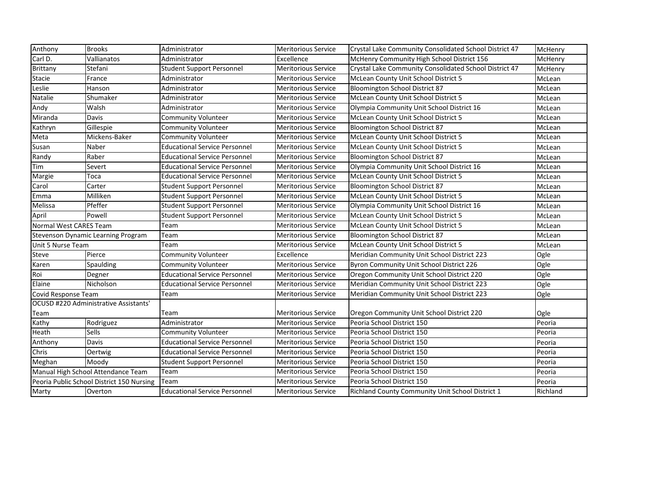| Anthony                                   | <b>Brooks</b>                             | Administrator                        | <b>Meritorious Service</b> | Crystal Lake Community Consolidated School District 47 | McHenry  |
|-------------------------------------------|-------------------------------------------|--------------------------------------|----------------------------|--------------------------------------------------------|----------|
| Carl D.                                   | Vallianatos                               | Administrator                        | Excellence                 | McHenry Community High School District 156             | McHenry  |
| Brittany                                  | Stefani                                   | <b>Student Support Personnel</b>     | <b>Meritorious Service</b> | Crystal Lake Community Consolidated School District 47 | McHenry  |
| Stacie                                    | France                                    | Administrator                        | <b>Meritorious Service</b> | McLean County Unit School District 5                   | McLean   |
| Leslie                                    | Hanson                                    | Administrator                        | Meritorious Service        | <b>Bloomington School District 87</b>                  | McLean   |
| Natalie                                   | Shumaker                                  | Administrator                        | <b>Meritorious Service</b> | McLean County Unit School District 5                   | McLean   |
| Andy                                      | Walsh                                     | Administrator                        | <b>Meritorious Service</b> | Olympia Community Unit School District 16              | McLean   |
| Miranda                                   | Davis                                     | <b>Community Volunteer</b>           | <b>Meritorious Service</b> | McLean County Unit School District 5                   | McLean   |
| Kathryn                                   | Gillespie                                 | <b>Community Volunteer</b>           | <b>Meritorious Service</b> | Bloomington School District 87                         | McLean   |
| Meta                                      | Mickens-Baker                             | <b>Community Volunteer</b>           | <b>Meritorious Service</b> | McLean County Unit School District 5                   | McLean   |
| Susan                                     | Naber                                     | <b>Educational Service Personnel</b> | <b>Meritorious Service</b> | McLean County Unit School District 5                   | McLean   |
| Randy                                     | Raber                                     | <b>Educational Service Personnel</b> | <b>Meritorious Service</b> | Bloomington School District 87                         | McLean   |
| Tim                                       | Severt                                    | <b>Educational Service Personnel</b> | <b>Meritorious Service</b> | Olympia Community Unit School District 16              | McLean   |
| Margie                                    | Тоса                                      | <b>Educational Service Personnel</b> | <b>Meritorious Service</b> | McLean County Unit School District 5                   | McLean   |
| Carol                                     | Carter                                    | <b>Student Support Personnel</b>     | <b>Meritorious Service</b> | Bloomington School District 87                         | McLean   |
| Emma                                      | Milliken                                  | <b>Student Support Personnel</b>     | <b>Meritorious Service</b> | McLean County Unit School District 5                   | McLean   |
| Melissa                                   | Pfeffer                                   | <b>Student Support Personnel</b>     | <b>Meritorious Service</b> | Olympia Community Unit School District 16              | McLean   |
| April                                     | Powell                                    | <b>Student Support Personnel</b>     | <b>Meritorious Service</b> | McLean County Unit School District 5                   | McLean   |
| Normal West CARES Team                    |                                           | Team                                 | Meritorious Service        | McLean County Unit School District 5                   | McLean   |
|                                           | <b>Stevenson Dynamic Learning Program</b> | Team                                 | <b>Meritorious Service</b> | Bloomington School District 87                         | McLean   |
| Unit 5 Nurse Team                         |                                           | Team                                 | <b>Meritorious Service</b> | McLean County Unit School District 5                   | McLean   |
| Steve                                     | Pierce                                    | Community Volunteer                  | Excellence                 | Meridian Community Unit School District 223            | Ogle     |
| Karen                                     | Spaulding                                 | Community Volunteer                  | <b>Meritorious Service</b> | Byron Community Unit School District 226               | Ogle     |
| Roi                                       | Degner                                    | <b>Educational Service Personnel</b> | <b>Meritorious Service</b> | Oregon Community Unit School District 220              | Ogle     |
| Elaine                                    | Nicholson                                 | <b>Educational Service Personnel</b> | <b>Meritorious Service</b> | Meridian Community Unit School District 223            | Ogle     |
| Covid Response Team                       |                                           | Team                                 | <b>Meritorious Service</b> | Meridian Community Unit School District 223            | Ogle     |
|                                           | OCUSD #220 Administrative Assistants'     |                                      |                            |                                                        |          |
| Team                                      |                                           | Team                                 | <b>Meritorious Service</b> | Oregon Community Unit School District 220              | Ogle     |
| Kathy                                     | Rodriguez                                 | Administrator                        | <b>Meritorious Service</b> | Peoria School District 150                             | Peoria   |
| Heath                                     | Sells                                     | <b>Community Volunteer</b>           | <b>Meritorious Service</b> | Peoria School District 150                             | Peoria   |
| Anthony                                   | Davis                                     | <b>Educational Service Personnel</b> | <b>Meritorious Service</b> | Peoria School District 150                             | Peoria   |
| Chris                                     | Oertwig                                   | <b>Educational Service Personnel</b> | <b>Meritorious Service</b> | Peoria School District 150                             | Peoria   |
| Meghan                                    | Moody                                     | <b>Student Support Personnel</b>     | <b>Meritorious Service</b> | Peoria School District 150                             | Peoria   |
|                                           | Manual High School Attendance Team        | Team                                 | <b>Meritorious Service</b> | Peoria School District 150                             | Peoria   |
| Peoria Public School District 150 Nursing |                                           | Team                                 | <b>Meritorious Service</b> | Peoria School District 150                             | Peoria   |
| Marty                                     | Overton                                   | <b>Educational Service Personnel</b> | <b>Meritorious Service</b> | Richland County Community Unit School District 1       | Richland |